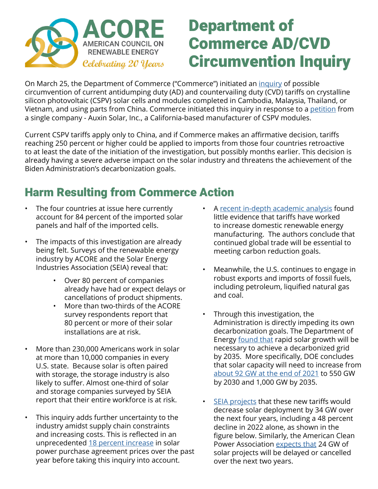

## Department of Commerce AD/CVD Circumvention Inquiry

On March 25, the Department of Commerce ("Commerce") initiated an [inquiry](https://www.federalregister.gov/documents/2022/04/01/2022-06827/crystalline-silicon-photovoltaic-cells-whether-or-not-assembled-into-modules-from-the-peoples) of possible circumvention of current antidumping duty (AD) and countervailing duty (CVD) tariffs on crystalline silicon photovoltaic (CSPV) solar cells and modules completed in Cambodia, Malaysia, Thailand, or Vietnam, and using parts from China. Commerce initiated this inquiry in response to a [petition](https://acore.org/auxin-february-8-2022-petition/) from a single company - Auxin Solar, Inc., a California-based manufacturer of CSPV modules.

Current CSPV tariffs apply only to China, and if Commerce makes an affirmative decision, tariffs reaching 250 percent or higher could be applied to imports from those four countries retroactive to at least the date of the initiation of the investigation, but possibly months earlier. This decision is already having a severe adverse impact on the solar industry and threatens the achievement of the Biden Administration's decarbonization goals.

## Harm Resulting from Commerce Action

- The four countries at issue here currently account for 84 percent of the imported solar panels and half of the imported cells.
- The impacts of this investigation are already being felt. Surveys of the renewable energy industry by ACORE and the Solar Energy Industries Association (SEIA) reveal that:
	- Over 80 percent of companies already have had or expect delays or cancellations of product shipments.
	- More than two-thirds of the ACORE survey respondents report that 80 percent or more of their solar installations are at risk.
- More than 230,000 Americans work in solar at more than 10,000 companies in every U.S. state. Because solar is often paired with storage, the storage industry is also likely to suffer. Almost one-third of solar and storage companies surveyed by SEIA report that their entire workforce is at risk.
- This inquiry adds further uncertainty to the industry amidst supply chain constraints and increasing costs. This is reflected in an unprecedented [18 percent increase](https://www.leveltenenergy.com/ppa) in solar power purchase agreement prices over the past year before taking this inquiry into account.
- A [recent in-depth academic analysis](https://papers.ssrn.com/sol3/papers.cfm?abstract_id=4066047) found little evidence that tariffs have worked to increase domestic renewable energy manufacturing. The authors conclude that continued global trade will be essential to meeting carbon reduction goals.
- Meanwhile, the U.S. continues to engage in robust exports and imports of fossil fuels, including petroleum, liquified natural gas and coal.
- Through this investigation, the Administration is directly impeding its own decarbonization goals. The Department of Energy [found that](https://www.energy.gov/eere/solar/solar-futures-study) rapid solar growth will be necessary to achieve a decarbonized grid by 2035. More specifically, DOE concludes that solar capacity will need to increase from [about 92 GW at the end of 2021](https://www.eia.gov/electricity/monthly/epm_table_grapher.php?t=table_6_01_a) to 550 GW by 2030 and 1,000 GW by 2035.
- [SEIA projects](https://www.seia.org/sites/default/files/2022-04/FINAL%20Auxin%20Impact%20Analysis%202022-04-26_0.pdf) that these new tariffs would decrease solar deployment by 34 GW over the next four years, including a 48 percent decline in 2022 alone, as shown in the figure below. Similarly, the American Clean Power Association [expects that](https://cleanpower.org/blog/new-data-confirms-department-of-commerce-inquiry-severely-disrupts-u-s-utility-scale-solar-market/) 24 GW of solar projects will be delayed or cancelled over the next two years.